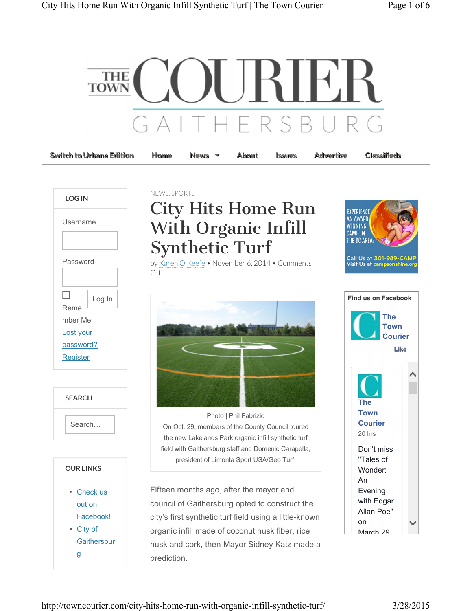

| LOG IN                                                      |        |
|-------------------------------------------------------------|--------|
| Username                                                    |        |
| Password                                                    |        |
| I.<br>Reme<br>mber Me<br>Lost your<br>password?<br>Register | Log In |



| <b>OUR LINKS</b> |             |
|------------------|-------------|
|                  | Check us    |
|                  | out on      |
|                  | Facebookl   |
|                  | City of     |
|                  | Gaithersbur |
|                  |             |

## NEWS, SPORTS

## City Hits Home Run With Organic Infill Synthetic Turf

by Karen O'Keefe • November 6, 2014 • Comments Off



Photo | Phil Fabrizio On Oct. 29, members of the County Council toured the new Lakelands Park organic infill synthetic turf field with Gaithersburg staff and Domenic Carapella, president of Limonta Sport USA/Geo Turf.

Fifteen months ago, after the mayor and council of Gaithersburg opted to construct the city's first synthetic turf field using a little-known organic infill made of coconut husk fiber, rice husk and cork, then-Mayor Sidney Katz made a prediction.



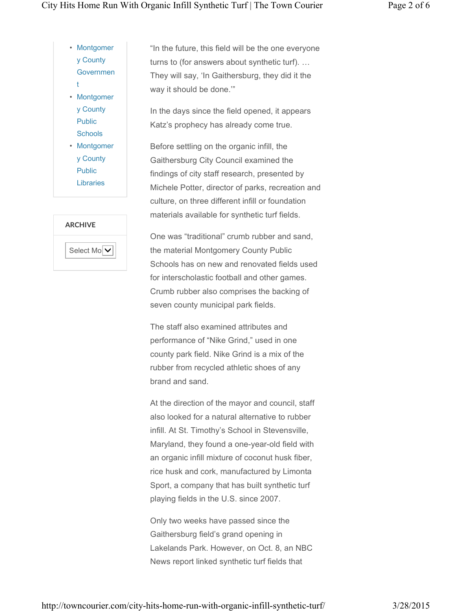- Montgomer y County Governmen t • Montgomer y County Public
- **Schools** • Montgomer y County Public

Libraries

| <b>ARCHIVE</b> |                             |
|----------------|-----------------------------|
|                | Select Mo $\vert \bm{\vee}$ |

"In the future, this field will be the one everyone turns to (for answers about synthetic turf). … They will say, 'In Gaithersburg, they did it the way it should be done.'"

In the days since the field opened, it appears Katz's prophecy has already come true.

Before settling on the organic infill, the Gaithersburg City Council examined the findings of city staff research, presented by Michele Potter, director of parks, recreation and culture, on three different infill or foundation materials available for synthetic turf fields.

One was "traditional" crumb rubber and sand, the material Montgomery County Public Schools has on new and renovated fields used for interscholastic football and other games. Crumb rubber also comprises the backing of seven county municipal park fields.

The staff also examined attributes and performance of "Nike Grind," used in one county park field. Nike Grind is a mix of the rubber from recycled athletic shoes of any brand and sand.

At the direction of the mayor and council, staff also looked for a natural alternative to rubber infill. At St. Timothy's School in Stevensville, Maryland, they found a one-year-old field with an organic infill mixture of coconut husk fiber, rice husk and cork, manufactured by Limonta Sport, a company that has built synthetic turf playing fields in the U.S. since 2007.

Only two weeks have passed since the Gaithersburg field's grand opening in Lakelands Park. However, on Oct. 8, an NBC News report linked synthetic turf fields that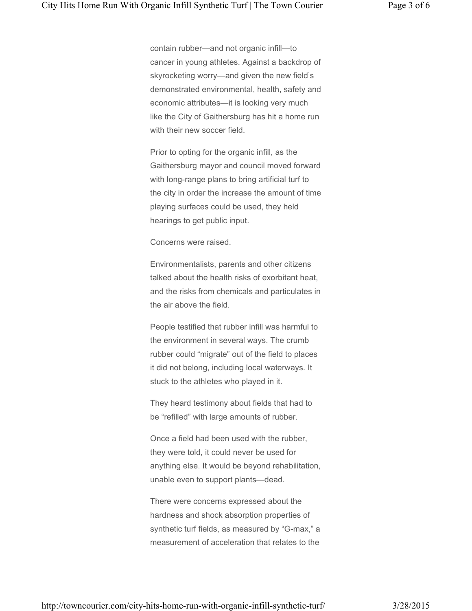contain rubber—and not organic infill—to cancer in young athletes. Against a backdrop of skyrocketing worry—and given the new field's demonstrated environmental, health, safety and economic attributes—it is looking very much like the City of Gaithersburg has hit a home run with their new soccer field.

Prior to opting for the organic infill, as the Gaithersburg mayor and council moved forward with long-range plans to bring artificial turf to the city in order the increase the amount of time playing surfaces could be used, they held hearings to get public input.

Concerns were raised.

Environmentalists, parents and other citizens talked about the health risks of exorbitant heat, and the risks from chemicals and particulates in the air above the field.

People testified that rubber infill was harmful to the environment in several ways. The crumb rubber could "migrate" out of the field to places it did not belong, including local waterways. It stuck to the athletes who played in it.

They heard testimony about fields that had to be "refilled" with large amounts of rubber.

Once a field had been used with the rubber, they were told, it could never be used for anything else. It would be beyond rehabilitation, unable even to support plants—dead.

There were concerns expressed about the hardness and shock absorption properties of synthetic turf fields, as measured by "G-max," a measurement of acceleration that relates to the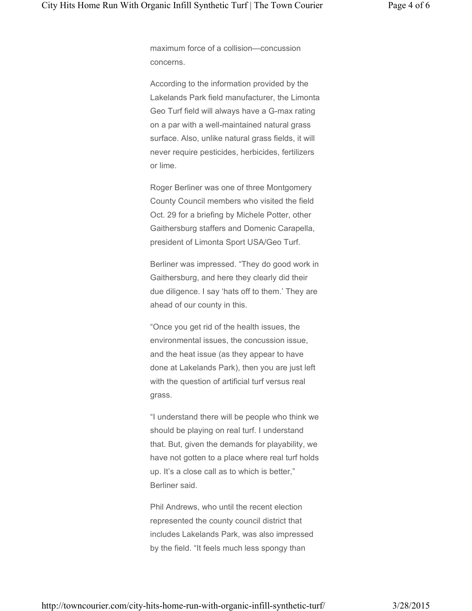maximum force of a collision—concussion concerns.

According to the information provided by the Lakelands Park field manufacturer, the Limonta Geo Turf field will always have a G-max rating on a par with a well-maintained natural grass surface. Also, unlike natural grass fields, it will never require pesticides, herbicides, fertilizers or lime.

Roger Berliner was one of three Montgomery County Council members who visited the field Oct. 29 for a briefing by Michele Potter, other Gaithersburg staffers and Domenic Carapella, president of Limonta Sport USA/Geo Turf.

Berliner was impressed. "They do good work in Gaithersburg, and here they clearly did their due diligence. I say 'hats off to them.' They are ahead of our county in this.

"Once you get rid of the health issues, the environmental issues, the concussion issue, and the heat issue (as they appear to have done at Lakelands Park), then you are just left with the question of artificial turf versus real grass.

"I understand there will be people who think we should be playing on real turf. I understand that. But, given the demands for playability, we have not gotten to a place where real turf holds up. It's a close call as to which is better," Berliner said.

Phil Andrews, who until the recent election represented the county council district that includes Lakelands Park, was also impressed by the field. "It feels much less spongy than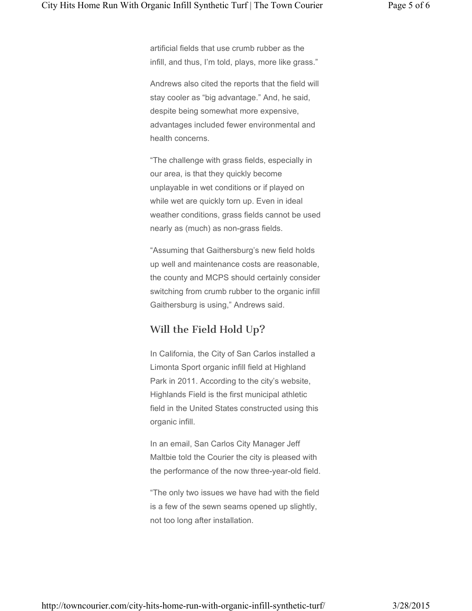artificial fields that use crumb rubber as the infill, and thus, I'm told, plays, more like grass."

Andrews also cited the reports that the field will stay cooler as "big advantage." And, he said, despite being somewhat more expensive, advantages included fewer environmental and health concerns.

"The challenge with grass fields, especially in our area, is that they quickly become unplayable in wet conditions or if played on while wet are quickly torn up. Even in ideal weather conditions, grass fields cannot be used nearly as (much) as non-grass fields.

"Assuming that Gaithersburg's new field holds up well and maintenance costs are reasonable, the county and MCPS should certainly consider switching from crumb rubber to the organic infill Gaithersburg is using," Andrews said.

## Will the Field Hold Up?

In California, the City of San Carlos installed a Limonta Sport organic infill field at Highland Park in 2011. According to the city's website, Highlands Field is the first municipal athletic field in the United States constructed using this organic infill.

In an email, San Carlos City Manager Jeff Maltbie told the Courier the city is pleased with the performance of the now three-year-old field.

"The only two issues we have had with the field is a few of the sewn seams opened up slightly, not too long after installation.